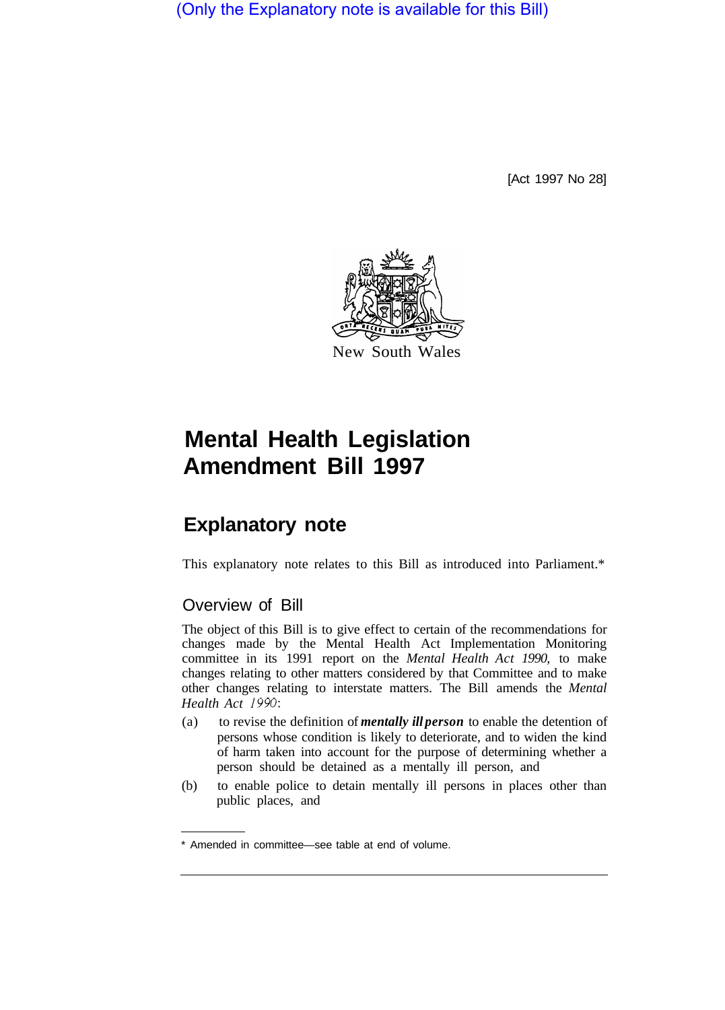(Only the Explanatory note is available for this Bill)

[Act 1997 No 28]



## **Mental Health Legislation Amendment Bill 1997**

## **Explanatory note**

This explanatory note relates to this Bill as introduced into Parliament.\*

## Overview of Bill

The object of this Bill is to give effect to certain of the recommendations for changes made by the Mental Health Act Implementation Monitoring committee in its 1991 report on the *Mental Health Act 1990,* to make changes relating to other matters considered by that Committee and to make other changes relating to interstate matters. The Bill amends the *Mental Health Act 1990:* 

- (a) to revise the definition of *mentally ill person* to enable the detention of persons whose condition is likely to deteriorate, and to widen the kind of harm taken into account for the purpose of determining whether a person should be detained as a mentally ill person, and
- (b) to enable police to detain mentally ill persons in places other than public places, and

<sup>\*</sup> Amended in committee—see table at end of volume.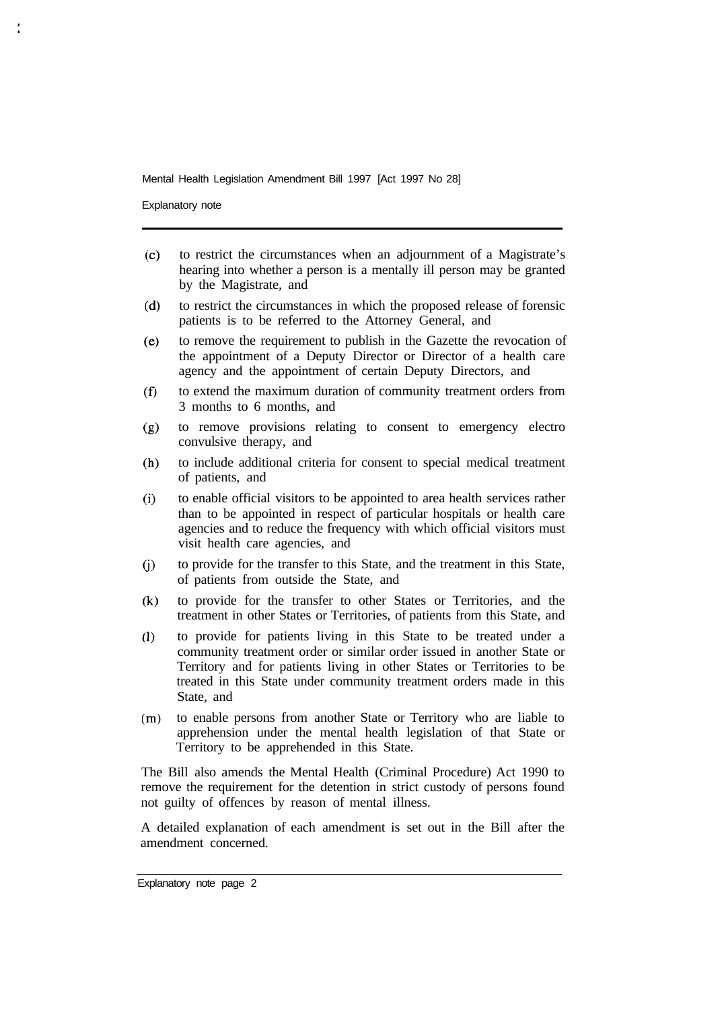Mental Health Legislation Amendment Bill 1997 [Act 1997 No 28]

Explanatory note

- to restrict the circumstances when an adjournment of a Magistrate's  $(c)$ hearing into whether a person is a mentally ill person may be granted by the Magistrate, and
- $(d)$ to restrict the circumstances in which the proposed release of forensic patients is to be referred to the Attorney General, and
- $(e)$ to remove the requirement to publish in the Gazette the revocation of the appointment of a Deputy Director or Director of a health care agency and the appointment of certain Deputy Directors, and
- to extend the maximum duration of community treatment orders from  $(f)$ 3 months to 6 months, and
- to remove provisions relating to consent to emergency electro  $(g)$ convulsive therapy, and
- $(h)$ to include additional criteria for consent to special medical treatment of patients, and
- $(i)$ to enable official visitors to be appointed to area health services rather than to be appointed in respect of particular hospitals or health care agencies and to reduce the frequency with which official visitors must visit health care agencies, and
- $(i)$ to provide for the transfer to this State, and the treatment in this State, of patients from outside the State, and
- to provide for the transfer to other States or Territories, and the  $(k)$ treatment in other States or Territories, of patients from this State, and
- $(1)$ to provide for patients living in this State to be treated under a community treatment order or similar order issued in another State or Territory and for patients living in other States or Territories to be treated in this State under community treatment orders made in this State, and
- to enable persons from another State or Territory who are liable to  $(m)$ apprehension under the mental health legislation of that State or Territory to be apprehended in this State.

The Bill also amends the Mental Health (Criminal Procedure) Act 1990 to remove the requirement for the detention in strict custody of persons found not guilty of offences by reason of mental illness.

A detailed explanation of each amendment is set out in the Bill after the amendment concerned.